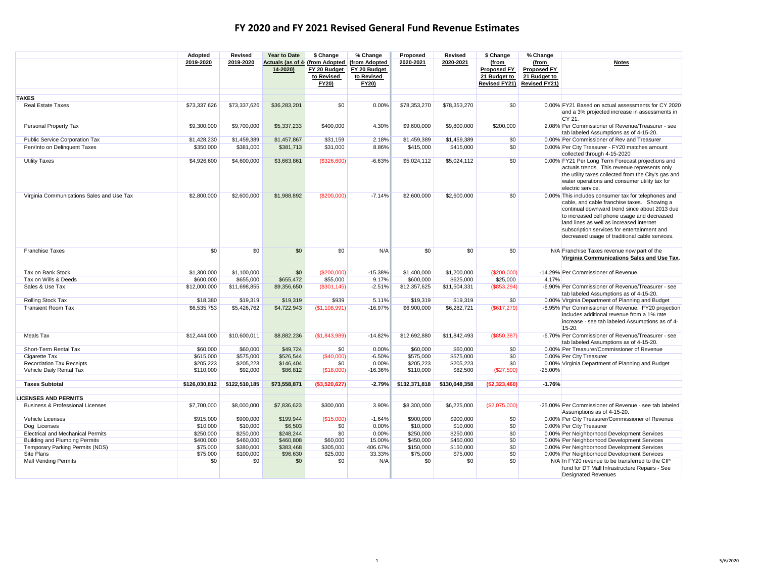|                                             | Adopted       | Revised       | Year to Date                                | \$ Change      | % Change                      | Proposed      | Revised       | \$ Change                   | % Change                    |                                                                                |
|---------------------------------------------|---------------|---------------|---------------------------------------------|----------------|-------------------------------|---------------|---------------|-----------------------------|-----------------------------|--------------------------------------------------------------------------------|
|                                             | 2019-2020     | 2019-2020     | Actuals (as of 4 (from Adopted)<br>14-2020) | FY 20 Budget   | (from Adopted<br>FY 20 Budget | 2020-2021     | 2020-2021     | (from<br><b>Proposed FY</b> | (from<br><b>Proposed FY</b> | <b>Notes</b>                                                                   |
|                                             |               |               |                                             | to Revised     | to Revised                    |               |               | 21 Budget to                | 21 Budget to                |                                                                                |
|                                             |               |               |                                             | <b>FY20)</b>   | <b>FY20)</b>                  |               |               | <b>Revised FY21)</b>        | <b>Revised FY21)</b>        |                                                                                |
|                                             |               |               |                                             |                |                               |               |               |                             |                             |                                                                                |
| <b>TAXES</b>                                |               |               |                                             |                |                               |               |               |                             |                             |                                                                                |
| <b>Real Estate Taxes</b>                    | \$73,337,626  | \$73,337,626  | \$36,283,201                                | \$0            | 0.00%                         | \$78,353,270  | \$78,353,270  | \$0                         |                             | 0.00% FY21 Based on actual assessments for CY 2020                             |
|                                             |               |               |                                             |                |                               |               |               |                             |                             | and a 3% projected increase in assessments in<br>CY 21.                        |
| Personal Property Tax                       | \$9,300,000   | \$9,700,000   | \$5,337,233                                 | \$400,000      | 4.30%                         | \$9,600,000   | \$9,800,000   | \$200,000                   |                             | 2.08% Per Commissioner of Revenue/Treasurer - see                              |
|                                             |               |               |                                             |                |                               |               |               |                             |                             | tab labeled Assumptions as of 4-15-20.                                         |
| Public Service Corporation Tax              | \$1,428,230   | \$1,459,389   | \$1,457,867                                 | \$31,159       | 2.18%                         | \$1,459,389   | \$1,459,389   | \$0                         |                             | 0.00% Per Commissioner of Rev and Treasurer                                    |
| Pen/Into on Delinquent Taxes                | \$350,000     | \$381,000     | \$381,713                                   | \$31,000       | 8.86%                         | \$415,000     | \$415,000     | \$0                         |                             | 0.00% Per City Treasurer - FY20 matches amount<br>collected through 4-15-2020  |
| <b>Utility Taxes</b>                        | \$4,926,600   | \$4,600,000   | \$3,663,861                                 | (\$326,600)    | $-6.63%$                      | \$5,024,112   | \$5,024,112   | \$0                         |                             | 0.00% FY21 Per Long Term Forecast projections and                              |
|                                             |               |               |                                             |                |                               |               |               |                             |                             | actuals trends. This revenue represents only                                   |
|                                             |               |               |                                             |                |                               |               |               |                             |                             | the utility taxes collected from the City's gas and                            |
|                                             |               |               |                                             |                |                               |               |               |                             |                             | water operations and consumer utility tax for                                  |
| Virginia Communications Sales and Use Tax   | \$2,800,000   | \$2,600,000   | \$1,988,892                                 | (\$200,000)    | $-7.14%$                      | \$2,600,000   | \$2,600,000   | \$0                         |                             | electric service.<br>0.00% This includes consumer tax for telephones and       |
|                                             |               |               |                                             |                |                               |               |               |                             |                             | cable, and cable franchise taxes. Showing a                                    |
|                                             |               |               |                                             |                |                               |               |               |                             |                             | continual downward trend since about 2013 due                                  |
|                                             |               |               |                                             |                |                               |               |               |                             |                             | to increased cell phone usage and decreased                                    |
|                                             |               |               |                                             |                |                               |               |               |                             |                             | land lines as well as increased internet                                       |
|                                             |               |               |                                             |                |                               |               |               |                             |                             | subscription services for entertainment and                                    |
|                                             |               |               |                                             |                |                               |               |               |                             |                             | decreased usage of traditional cable services.                                 |
| <b>Franchise Taxes</b>                      | \$0           | \$0           | \$0                                         | \$0            | N/A                           | \$0           | \$0           | \$0                         |                             | N/A Franchise Taxes revenue now part of the                                    |
|                                             |               |               |                                             |                |                               |               |               |                             |                             | Virginia Communications Sales and Use Tax.                                     |
| Tax on Bank Stock                           | \$1,300,000   | \$1,100,000   | \$0                                         | (\$200,000)    | $-15.38%$                     | \$1,400,000   | \$1,200,000   | (\$200,000)                 |                             | -14.29% Per Commissioner of Revenue.                                           |
| Tax on Wills & Deeds                        | \$600,000     | \$655,000     | \$655,472                                   | \$55,000       | 9.17%                         | \$600,000     | \$625,000     | \$25,000                    | 4.17%                       |                                                                                |
| Sales & Use Tax                             | \$12,000,000  | \$11,698,855  | \$9,356,650                                 | (\$301, 145)   | $-2.51%$                      | \$12,357,625  | \$11,504,331  | (\$853,294)                 |                             | -6.90% Per Commissioner of Revenue/Treasurer - see                             |
|                                             |               |               |                                             |                |                               |               |               |                             |                             | tab labeled Assumptions as of 4-15-20.                                         |
| Rolling Stock Tax                           | \$18,380      | \$19,319      | \$19,319                                    | \$939          | 5.11%                         | \$19,319      | \$19,319      | \$0                         |                             | 0.00% Virginia Department of Planning and Budget                               |
| <b>Transient Room Tax</b>                   | \$6,535,753   | \$5,426,762   | \$4,722,943                                 | (S1, 108, 991) | $-16.97%$                     | \$6,900,000   | \$6,282,721   | (\$617,279)                 |                             | -8.95% Per Commissioner of Revenue. FY20 projection                            |
|                                             |               |               |                                             |                |                               |               |               |                             |                             | includes additional revenue from a 1% rate                                     |
|                                             |               |               |                                             |                |                               |               |               |                             |                             | increase - see tab labeled Assumptions as of 4-<br>15-20.                      |
| Meals Tax                                   | \$12,444,000  | \$10,600,011  | \$8,882,236                                 | (\$1,843,989)  | $-14.82%$                     | \$12,692,880  | \$11.842.493  | (\$850,387)                 |                             | -6.70% Per Commissioner of Revenue/Treasurer - see                             |
|                                             |               |               |                                             |                |                               |               |               |                             |                             | tab labeled Assumptions as of 4-15-20.                                         |
| Short-Term Rental Tax                       | \$60,000      | \$60,000      | \$49,724                                    | \$0            | 0.00%                         | \$60,000      | \$60,000      | \$0                         |                             | 0.00% Per Treasurer/Commissioner of Revenue                                    |
| Cigarette Tax                               | \$615,000     | \$575,000     | \$526,544                                   | (\$40,000)     | $-6.50%$                      | \$575,000     | \$575,000     | \$0                         |                             | 0.00% Per City Treasurer                                                       |
| <b>Recordation Tax Receipts</b>             | \$205,223     | \$205,223     | \$146,404                                   | \$0            | 0.00%                         | \$205,223     | \$205,223     | \$0                         |                             | 0.00% Virginia Department of Planning and Budget                               |
| Vehicle Daily Rental Tax                    | \$110,000     | \$92,000      | \$86,812                                    | (\$18,000)     | $-16.36%$                     | \$110,000     | \$82,500      | (\$27,500)                  | $-25.00%$                   |                                                                                |
| <b>Taxes Subtotal</b>                       | \$126,030,812 | \$122,510,185 | \$73,558,871                                | (\$3,520,627)  | $-2.79%$                      | \$132,371,818 | \$130.048.358 | (\$2,323,460)               | $-1.76%$                    |                                                                                |
|                                             |               |               |                                             |                |                               |               |               |                             |                             |                                                                                |
| <b>LICENSES AND PERMITS</b>                 |               |               |                                             |                |                               |               |               |                             |                             |                                                                                |
| <b>Business &amp; Professional Licenses</b> | \$7,700,000   | \$8,000,000   | \$7,836,623                                 | \$300,000      | 3.90%                         | \$8,300,000   | \$6,225,000   | (\$2,075,000)               |                             | -25.00% Per Commissioner of Revenue - see tab labeled                          |
| Vehicle Licenses                            | \$915,000     | \$900,000     | \$199,944                                   | (\$15,000)     | $-1.64%$                      | \$900,000     | \$900,000     | \$0                         |                             | Assumptions as of 4-15-20.<br>0.00% Per City Treasurer/Commissioner of Revenue |
| Dog Licenses                                | \$10,000      | \$10,000      | \$6,503                                     | \$0            | 0.00%                         | \$10,000      | \$10,000      | \$0                         |                             | 0.00% Per City Treasurer                                                       |
| <b>Electrical and Mechanical Permits</b>    | \$250,000     | \$250,000     | \$248.244                                   | \$0            | 0.00%                         | \$250,000     | \$250,000     | \$0                         |                             | 0.00% Per Neighborhood Development Services                                    |
| <b>Building and Plumbing Permits</b>        | \$400,000     | \$460,000     | \$460,808                                   | \$60,000       | 15.00%                        | \$450,000     | \$450,000     | \$0                         |                             | 0.00% Per Neighborhood Development Services                                    |
| Temporary Parking Permits (NDS)             | \$75,000      | \$380,000     | \$383,468                                   | \$305,000      | 406.67%                       | \$150,000     | \$150,000     | \$0                         |                             | 0.00% Per Neighborhood Development Services                                    |
| Site Plans                                  | \$75,000      | \$100,000     | \$96,630                                    | \$25,000       | 33.33%                        | \$75,000      | \$75,000      | \$0                         |                             | 0.00% Per Neighborhood Development Services                                    |
| <b>Mall Vending Permits</b>                 | \$0           | \$0           | \$0                                         | \$0            | N/A                           | \$0           | \$0           | \$0                         |                             | N/A In FY20 revenue to be transferred to the CIP                               |
|                                             |               |               |                                             |                |                               |               |               |                             |                             | fund for DT Mall Infrastructure Repairs - See                                  |
|                                             |               |               |                                             |                |                               |               |               |                             |                             | <b>Designated Revenues</b>                                                     |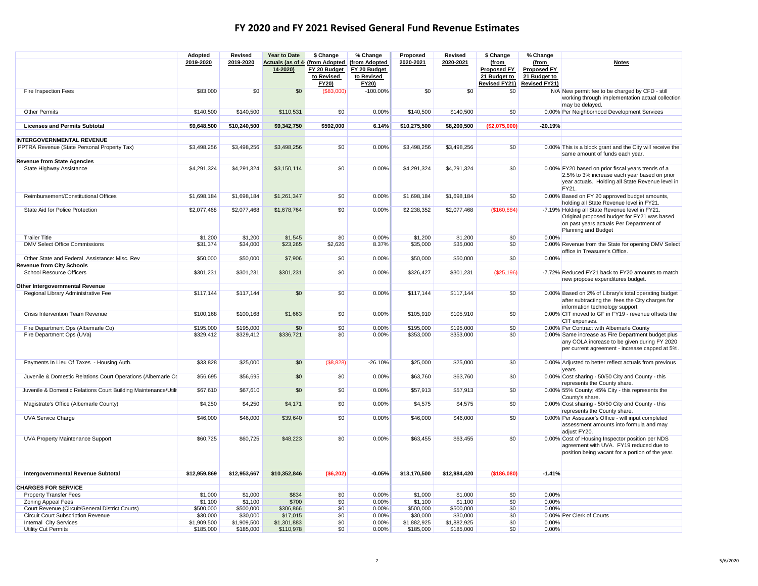|                                                                                   | Adopted      | Revised      | Year to Date                                          | \$ Change                           | % Change                                                    | Proposed     | Revised      | \$ Change                                                    | % Change                                                            |                                                                                                                                                                        |
|-----------------------------------------------------------------------------------|--------------|--------------|-------------------------------------------------------|-------------------------------------|-------------------------------------------------------------|--------------|--------------|--------------------------------------------------------------|---------------------------------------------------------------------|------------------------------------------------------------------------------------------------------------------------------------------------------------------------|
|                                                                                   | 2019-2020    | 2019-2020    | <b>Actuals (as of 4 (from Adopted)</b><br>$14 - 2020$ | FY 20 Budget<br>to Revised<br>FY20) | (from Adopted<br>FY 20 Budget<br>to Revised<br><b>FY20)</b> | 2020-2021    | 2020-2021    | (from<br>Proposed FY<br>21 Budget to<br><b>Revised FY21)</b> | (from<br><b>Proposed FY</b><br>21 Budget to<br><b>Revised FY21)</b> | <b>Notes</b>                                                                                                                                                           |
| Fire Inspection Fees                                                              | \$83,000     | \$0          | \$0                                                   | ( \$83,000)                         | $-100.00%$                                                  | \$0          | \$0          | \$0                                                          |                                                                     | N/A New permit fee to be charged by CFD - still<br>working through implementation actual collection<br>may be delayed.                                                 |
| Other Permits                                                                     | \$140,500    | \$140,500    | \$110,531                                             | \$0                                 | 0.00%                                                       | \$140,500    | \$140,500    | \$0                                                          |                                                                     | 0.00% Per Neighborhood Development Services                                                                                                                            |
| <b>Licenses and Permits Subtotal</b>                                              |              | \$10,240,500 |                                                       | \$592,000                           |                                                             | \$10,275,500 | \$8,200,500  | (\$2,075,000)                                                | $-20.19%$                                                           |                                                                                                                                                                        |
|                                                                                   | \$9,648,500  |              | \$9,342,750                                           |                                     | 6.14%                                                       |              |              |                                                              |                                                                     |                                                                                                                                                                        |
| <b>INTERGOVERNMENTAL REVENUE</b>                                                  |              |              |                                                       |                                     |                                                             |              |              |                                                              |                                                                     |                                                                                                                                                                        |
| PPTRA Revenue (State Personal Property Tax)                                       | \$3,498,256  | \$3,498,256  | \$3,498,256                                           | \$0                                 | 0.00%                                                       | \$3,498,256  | \$3,498,256  | \$0                                                          |                                                                     | 0.00% This is a block grant and the City will receive the<br>same amount of funds each year.                                                                           |
| <b>Revenue from State Agencies</b>                                                |              |              |                                                       |                                     |                                                             |              |              |                                                              |                                                                     |                                                                                                                                                                        |
| State Highway Assistance                                                          | \$4,291,324  | \$4,291,324  | \$3,150,114                                           | \$0                                 | 0.00%                                                       | \$4,291,324  | \$4,291,324  | \$0                                                          |                                                                     | 0.00% FY20 based on prior fiscal years trends of a<br>2.5% to 3% increase each year based on prior<br>year actuals. Holding all State Revenue level in<br><b>FY21.</b> |
| Reimbursement/Constitutional Offices                                              | \$1,698,184  | \$1,698,184  | \$1,261,347                                           | \$0                                 | 0.00%                                                       | \$1,698,184  | \$1,698,184  | \$0                                                          |                                                                     | 0.00% Based on FY 20 approved budget amounts,<br>holding all State Revenue level in FY21.                                                                              |
| State Aid for Police Protection                                                   | \$2,077,468  | \$2,077,468  | \$1,678,764                                           | \$0                                 | 0.00%                                                       | \$2,238,352  | \$2,077,468  | (\$160,884)                                                  |                                                                     | -7.19% Holding all State Revenue level in FY21.<br>Original proposed budget for FY21 was based<br>on past years actuals Per Department of<br>Planning and Budget       |
| <b>Trailer Title</b>                                                              | \$1,200      | \$1,200      | \$1,545                                               | \$0                                 | 0.00%                                                       | \$1,200      | \$1,200      | \$0                                                          | 0.00%                                                               |                                                                                                                                                                        |
| <b>DMV Select Office Commissions</b>                                              | \$31,374     | \$34,000     | \$23,265                                              | \$2,626                             | 8.37%                                                       | \$35,000     | \$35,000     | \$0                                                          |                                                                     | 0.00% Revenue from the State for opening DMV Select<br>office in Treasurer's Office.                                                                                   |
| Other State and Federal Assistance: Misc. Rev<br><b>Revenue from City Schools</b> | \$50,000     | \$50,000     | \$7,906                                               | \$0                                 | 0.00%                                                       | \$50,000     | \$50,000     | \$0                                                          | 0.00%                                                               |                                                                                                                                                                        |
| School Resource Officers                                                          | \$301,231    | \$301,231    | \$301,231                                             | \$0                                 | 0.00%                                                       | \$326,427    | \$301,231    | (\$25,196)                                                   |                                                                     | -7.72% Reduced FY21 back to FY20 amounts to match<br>new propose expenditures budget.                                                                                  |
| Other Intergovernmental Revenue                                                   |              |              |                                                       |                                     |                                                             |              |              |                                                              |                                                                     |                                                                                                                                                                        |
| Regional Library Administrative Fee                                               | \$117,144    | \$117,144    | \$0                                                   | \$0                                 | 0.00%                                                       | \$117,144    | \$117,144    | \$0                                                          |                                                                     | 0.00% Based on 2% of Library's total operating budget<br>after subtracting the fees the City charges for<br>information technology support                             |
| Crisis Intervention Team Revenue                                                  | \$100,168    | \$100,168    | \$1,663                                               | \$0                                 | 0.00%                                                       | \$105,910    | \$105,910    | \$0                                                          |                                                                     | 0.00% CIT moved to GF in FY19 - revenue offsets the<br>CIT expenses.                                                                                                   |
| Fire Department Ops (Albemarle Co)                                                | \$195,000    | \$195,000    | \$0                                                   | \$0                                 | 0.00%                                                       | \$195,000    | \$195,000    | \$0                                                          |                                                                     | 0.00% Per Contract with Albemarle County                                                                                                                               |
| Fire Department Ops (UVa)                                                         | \$329,412    | \$329,412    | \$336,721                                             | \$0                                 | 0.00%                                                       | \$353,000    | \$353,000    | \$0                                                          |                                                                     | 0.00% Same increase as Fire Department budget plus<br>any COLA increase to be given during FY 2020<br>per current agreement - increase capped at 5%.                   |
| Payments In Lieu Of Taxes - Housing Auth.                                         | \$33,828     | \$25,000     | \$0                                                   | (\$8,828)                           | $-26.10%$                                                   | \$25,000     | \$25,000     | \$0                                                          |                                                                     | 0.00% Adjusted to better reflect actuals from previous                                                                                                                 |
| Juvenile & Domestic Relations Court Operations (Albemarle Co.                     | \$56,695     | \$56,695     | \$0                                                   | \$0                                 | 0.00%                                                       | \$63,760     | \$63,760     | \$0                                                          |                                                                     | 0.00% Cost sharing - 50/50 City and County - this<br>represents the County share.                                                                                      |
| Juvenile & Domestic Relations Court Building Maintenance/Utilit                   | \$67,610     | \$67,610     | \$0                                                   | \$0                                 | 0.00%                                                       | \$57,913     | \$57,913     | \$0                                                          |                                                                     | 0.00% 55% County; 45% City - this represents the<br>County's share.                                                                                                    |
| Magistrate's Office (Albemarle County)                                            | \$4,250      | \$4,250      | \$4,171                                               | \$0                                 | 0.00%                                                       | \$4,575      | \$4,575      | \$0                                                          |                                                                     | 0.00% Cost sharing - 50/50 City and County - this<br>represents the County share.                                                                                      |
| <b>UVA Service Charge</b>                                                         | \$46,000     | \$46,000     | \$39,640                                              | \$0                                 | 0.00%                                                       | \$46,000     | \$46,000     | \$0                                                          |                                                                     | 0.00% Per Assessor's Office - will input completed<br>assessment amounts into formula and may<br>adjust FY20.                                                          |
| UVA Property Maintenance Support                                                  | \$60,725     | \$60,725     | \$48,223                                              | \$0                                 | 0.00%                                                       | \$63,455     | \$63,455     | \$0                                                          |                                                                     | 0.00% Cost of Housing Inspector position per NDS<br>agreement with UVA. FY19 reduced due to<br>position being vacant for a portion of the year.                        |
| Intergovernmental Revenue Subtotal                                                | \$12,959,869 | \$12,953,667 | \$10,352,846                                          | (\$6,202)                           | $-0.05%$                                                    | \$13,170,500 | \$12,984,420 | (\$186,080)                                                  | $-1.41%$                                                            |                                                                                                                                                                        |
|                                                                                   |              |              |                                                       |                                     |                                                             |              |              |                                                              |                                                                     |                                                                                                                                                                        |
| <b>CHARGES FOR SERVICE</b>                                                        |              |              |                                                       |                                     |                                                             |              |              |                                                              |                                                                     |                                                                                                                                                                        |
| <b>Property Transfer Fees</b>                                                     | \$1,000      | \$1,000      | \$834                                                 | \$0                                 | 0.00%                                                       | \$1,000      | \$1,000      | \$0                                                          | 0.00%                                                               |                                                                                                                                                                        |
| <b>Zoning Appeal Fees</b>                                                         | \$1,100      | \$1,100      | \$700                                                 | \$0                                 | 0.00%                                                       | \$1,100      | \$1,100      | \$0                                                          | 0.00%                                                               |                                                                                                                                                                        |
| Court Revenue (Circuit/General District Courts)                                   | \$500,000    | \$500,000    | \$306,866                                             | \$0                                 | 0.00%                                                       | \$500,000    | \$500,000    | \$0                                                          | 0.00%                                                               |                                                                                                                                                                        |
| Circuit Court Subscription Revenue                                                | \$30,000     | \$30,000     | \$17,015                                              | \$0                                 | 0.00%                                                       | \$30,000     | \$30,000     | \$0                                                          |                                                                     | 0.00% Per Clerk of Courts                                                                                                                                              |
| Internal City Services                                                            | \$1,909,500  | \$1,909,500  | \$1,301,883<br>\$110,978                              | \$0<br>\$0                          | 0.00%<br>0.00%                                              | \$1,882,925  | \$1,882,925  | \$0<br>\$0                                                   | 0.00%<br>0.00%                                                      |                                                                                                                                                                        |
| Utility Cut Permits                                                               | \$185,000    | \$185,000    |                                                       |                                     |                                                             | \$185,000    | \$185,000    |                                                              |                                                                     |                                                                                                                                                                        |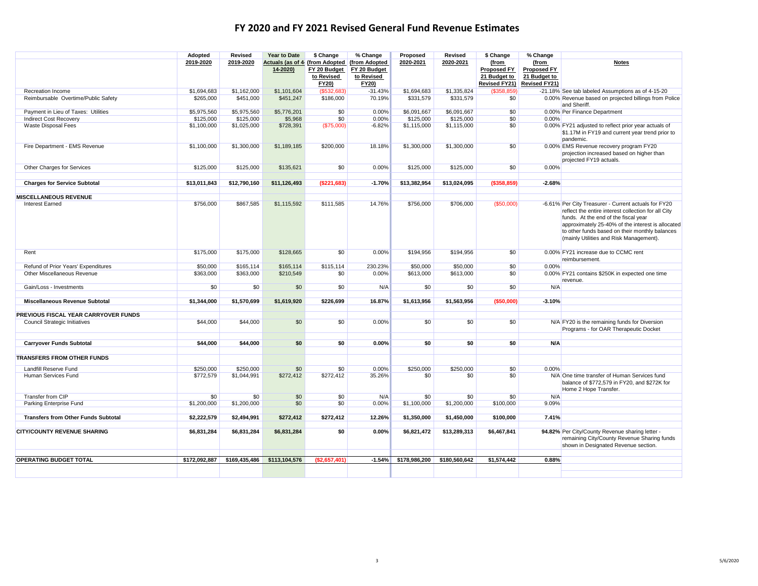|                                            | Adopted       | Revised       | <b>Year to Date</b> | \$ Change     | % Change      | Proposed      | Revised       | \$ Change            | % Change             |                                                                                                                                                                                                                                                                                                       |
|--------------------------------------------|---------------|---------------|---------------------|---------------|---------------|---------------|---------------|----------------------|----------------------|-------------------------------------------------------------------------------------------------------------------------------------------------------------------------------------------------------------------------------------------------------------------------------------------------------|
|                                            | 2019-2020     | 2019-2020     | Actuals (as of 4    | (from Adopted | (from Adopted | 2020-2021     | 2020-2021     | (from                | (from                | <b>Notes</b>                                                                                                                                                                                                                                                                                          |
|                                            |               |               | 14-2020)            | FY 20 Budget  | FY 20 Budget  |               |               | <b>Proposed FY</b>   | <b>Proposed FY</b>   |                                                                                                                                                                                                                                                                                                       |
|                                            |               |               |                     | to Revised    | to Revised    |               |               | 21 Budget to         | 21 Budget to         |                                                                                                                                                                                                                                                                                                       |
|                                            |               |               |                     | FY20)         | FY20)         |               |               | <b>Revised FY21)</b> | <b>Revised FY21)</b> |                                                                                                                                                                                                                                                                                                       |
| Recreation Income                          | \$1,694,683   | \$1,162,000   | \$1,101,604         | (\$532,683)   | $-31.43%$     | \$1,694,683   | \$1,335,824   | (\$358,859)          |                      | -21.18% See tab labeled Assumptions as of 4-15-20                                                                                                                                                                                                                                                     |
| Reimbursable Overtime/Public Safety        | \$265,000     | \$451,000     | \$451,247           | \$186,000     | 70.19%        | \$331,579     | \$331,579     | \$0                  |                      | 0.00% Revenue based on projected billings from Police<br>and Sheriff.                                                                                                                                                                                                                                 |
| Payment in Lieu of Taxes: Utilities        | \$5,975,560   | \$5,975,560   | \$5,776,201         | \$0           | 0.00%         | \$6,091,667   | \$6.091.667   | \$0                  |                      | 0.00% Per Finance Department                                                                                                                                                                                                                                                                          |
| <b>Indirect Cost Recovery</b>              | \$125,000     | \$125,000     | \$5,968             | \$0           | 0.00%         | \$125,000     | \$125,000     | \$0                  | 0.00%                |                                                                                                                                                                                                                                                                                                       |
| Waste Disposal Fees                        | \$1,100,000   | \$1,025,000   | \$728,391           | (\$75,000)    | $-6.82%$      | \$1,115,000   | \$1,115,000   | \$0                  |                      | 0.00% FY21 adjusted to reflect prior year actuals of<br>\$1.17M in FY19 and current year trend prior to<br>pandemic.                                                                                                                                                                                  |
| Fire Department - EMS Revenue              | \$1,100,000   | \$1,300,000   | \$1,189,185         | \$200,000     | 18.18%        | \$1,300,000   | \$1,300,000   | \$0                  |                      | 0.00% EMS Revenue recovery program FY20<br>projection increased based on higher than<br>projected FY19 actuals.                                                                                                                                                                                       |
| Other Charges for Services                 | \$125,000     | \$125,000     | \$135,621           | \$0           | 0.00%         | \$125,000     | \$125,000     | \$0                  | 0.00%                |                                                                                                                                                                                                                                                                                                       |
| <b>Charges for Service Subtotal</b>        | \$13,011,843  | \$12,790,160  | \$11,126,493        | (\$221,683)   | $-1.70%$      | \$13,382,954  | \$13,024,095  | ( \$358, 859)        | $-2.68%$             |                                                                                                                                                                                                                                                                                                       |
|                                            |               |               |                     |               |               |               |               |                      |                      |                                                                                                                                                                                                                                                                                                       |
| <b>MISCELLANEOUS REVENUE</b>               |               |               |                     |               |               |               |               |                      |                      |                                                                                                                                                                                                                                                                                                       |
| <b>Interest Earned</b>                     | \$756,000     | \$867,585     | \$1,115,592         | \$111.585     | 14.76%        | \$756,000     | \$706,000     | (\$50,000)           |                      | -6.61% Per City Treasurer - Current actuals for FY20<br>reflect the entire interest collection for all City<br>funds. At the end of the fiscal year<br>approximately 25-40% of the interest is allocated<br>to other funds based on their monthly balances<br>(mainly Utilities and Risk Management). |
| Rent                                       | \$175,000     | \$175,000     | \$128,665           | \$0           | 0.00%         | \$194,956     | \$194,956     | \$0                  |                      | 0.00% FY21 increase due to CCMC rent<br>reimbursement.                                                                                                                                                                                                                                                |
| Refund of Prior Years' Expenditures        | \$50,000      | \$165,114     | \$165,114           | \$115.114     | 230.23%       | \$50,000      | \$50,000      | \$0                  | 0.00%                |                                                                                                                                                                                                                                                                                                       |
| Other Miscellaneous Revenue                | \$363,000     | \$363,000     | \$210,549           | \$0           | 0.00%         | \$613,000     | \$613,000     | \$0                  |                      | 0.00% FY21 contains \$250K in expected one time<br>revenue.                                                                                                                                                                                                                                           |
| Gain/Loss - Investments                    | \$0           | \$0           | \$0                 | \$0           | N/A           | \$0           | \$0           | \$0                  | N/A                  |                                                                                                                                                                                                                                                                                                       |
| <b>Miscellaneous Revenue Subtotal</b>      | \$1,344,000   | \$1.570.699   | \$1.619.920         | \$226.699     | 16.87%        | \$1,613,956   | \$1.563.956   | (\$50.000)           | $-3.10%$             |                                                                                                                                                                                                                                                                                                       |
|                                            |               |               |                     |               |               |               |               |                      |                      |                                                                                                                                                                                                                                                                                                       |
| PREVIOUS FISCAL YEAR CARRYOVER FUNDS       |               |               |                     |               |               |               |               |                      |                      |                                                                                                                                                                                                                                                                                                       |
| <b>Council Strategic Initiatives</b>       | \$44,000      | \$44,000      | \$0                 | \$0           | 0.00%         | \$0           | \$0           | \$0                  |                      | N/A FY20 is the remaining funds for Diversion<br>Programs - for OAR Therapeutic Docket                                                                                                                                                                                                                |
| <b>Carryover Funds Subtotal</b>            | \$44,000      | \$44,000      | \$0                 | \$0           | 0.00%         | \$0           | \$0           | \$0                  | N/A                  |                                                                                                                                                                                                                                                                                                       |
|                                            |               |               |                     |               |               |               |               |                      |                      |                                                                                                                                                                                                                                                                                                       |
| <b>TRANSFERS FROM OTHER FUNDS</b>          |               |               |                     |               |               |               |               |                      |                      |                                                                                                                                                                                                                                                                                                       |
| Landfill Reserve Fund                      | \$250,000     | \$250,000     | \$0                 | \$0           | 0.00%         | \$250,000     | \$250,000     | \$0                  | 0.00%                |                                                                                                                                                                                                                                                                                                       |
| Human Services Fund                        | \$772,579     | \$1,044,991   | \$272,412           | \$272,412     | 35.26%        | \$0           | \$0           | \$0                  |                      | N/A One time transfer of Human Services fund<br>balance of \$772,579 in FY20, and \$272K for<br>Home 2 Hope Transfer.                                                                                                                                                                                 |
| Transfer from CIP                          | \$0           | \$0           | \$0                 | \$0           | N/A           | \$0           | \$0           | \$0                  | N/A                  |                                                                                                                                                                                                                                                                                                       |
| Parking Enterprise Fund                    | \$1,200,000   | \$1,200,000   | \$0                 | \$0           | 0.00%         | \$1,100,000   | \$1,200,000   | \$100,000            | 9.09%                |                                                                                                                                                                                                                                                                                                       |
|                                            |               |               |                     |               |               |               |               |                      |                      |                                                                                                                                                                                                                                                                                                       |
| <b>Transfers from Other Funds Subtotal</b> | \$2,222,579   | \$2,494,991   | \$272,412           | \$272,412     | 12.26%        | \$1,350,000   | \$1,450,000   | \$100,000            | 7.41%                |                                                                                                                                                                                                                                                                                                       |
|                                            |               |               |                     |               |               |               |               |                      |                      |                                                                                                                                                                                                                                                                                                       |
| <b>CITY/COUNTY REVENUE SHARING</b>         | \$6,831,284   | \$6,831,284   | \$6,831,284         | \$0           | 0.00%         | \$6,821,472   | \$13,289,313  | \$6,467,841          |                      | 94.82% Per City/County Revenue sharing letter -<br>remaining City/County Revenue Sharing funds<br>shown in Designated Revenue section.                                                                                                                                                                |
|                                            |               |               |                     |               |               |               |               |                      |                      |                                                                                                                                                                                                                                                                                                       |
| <b>OPERATING BUDGET TOTAL</b>              | \$172,092,887 | \$169,435,486 | \$113,104,576       | (\$2,657,401) | $-1.54%$      | \$178,986,200 | \$180,560,642 | \$1,574,442          | 0.88%                |                                                                                                                                                                                                                                                                                                       |
|                                            |               |               |                     |               |               |               |               |                      |                      |                                                                                                                                                                                                                                                                                                       |
|                                            |               |               |                     |               |               |               |               |                      |                      |                                                                                                                                                                                                                                                                                                       |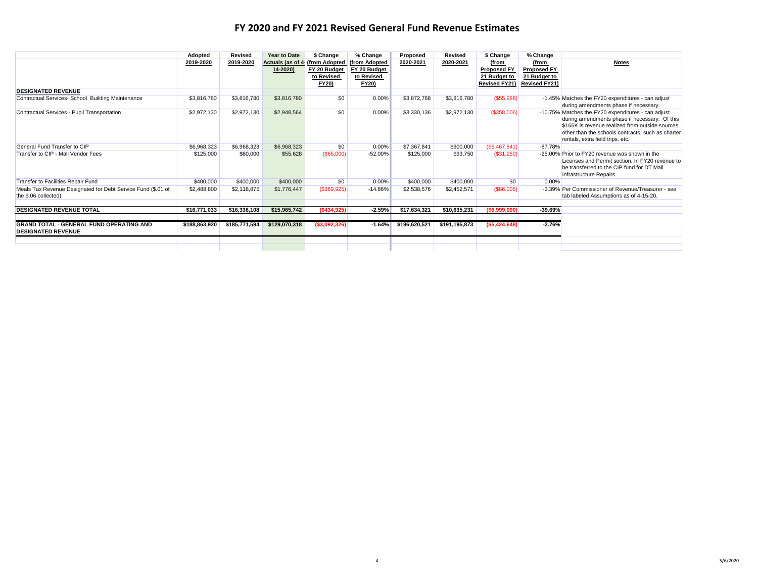4

|                                                                                      | Adopted       | Revised       | <b>Year to Date</b>             | \$ Change                                                   | % Change                                                    | Proposed      | <b>Revised</b> | \$ Change                                                           | % Change                                                            |                                                                                                                                                                                                                                                 |
|--------------------------------------------------------------------------------------|---------------|---------------|---------------------------------|-------------------------------------------------------------|-------------------------------------------------------------|---------------|----------------|---------------------------------------------------------------------|---------------------------------------------------------------------|-------------------------------------------------------------------------------------------------------------------------------------------------------------------------------------------------------------------------------------------------|
|                                                                                      | 2019-2020     | 2019-2020     | Actuals (as of 4<br>$14 - 2020$ | (from Adopted<br>FY 20 Budget<br>to Revised<br><b>FY20)</b> | (from Adopted<br>FY 20 Budget<br>to Revised<br><b>FY20)</b> | 2020-2021     | 2020-2021      | (from<br><b>Proposed FY</b><br>21 Budget to<br><b>Revised FY21)</b> | (from<br><b>Proposed FY</b><br>21 Budget to<br><b>Revised FY21)</b> | <b>Notes</b>                                                                                                                                                                                                                                    |
| <b>DESIGNATED REVENUE</b>                                                            |               |               |                                 |                                                             |                                                             |               |                |                                                                     |                                                                     |                                                                                                                                                                                                                                                 |
| Contractual Services- School Building Maintenance                                    | \$3,816,780   | \$3,816,780   | \$3,816,780                     | \$0                                                         | 0.00%                                                       | \$3,872,768   | \$3,816,780    | (\$55,988)                                                          |                                                                     | -1.45% Matches the FY20 expenditures - can adjust<br>during amendments phase if necessary.                                                                                                                                                      |
| Contractual Services - Pupil Transportation                                          | \$2,972,130   | \$2,972,130   | \$2,948,564                     | \$0                                                         | 0.00%                                                       | \$3,330,136   | \$2,972,130    | (\$358,006)                                                         |                                                                     | -10.75% Matches the FY20 expenditures - can adjust<br>during amendments phase if necessary. Of this<br>\$166K is revenue realized from outside sources<br>other than the schools contracts, such as charter<br>rentals, extra field trips, etc. |
| General Fund Transfer to CIP                                                         | \$6,968,323   | \$6,968,323   | \$6,968,323                     | \$0                                                         | 0.00%                                                       | \$7,367,841   | \$900,000      | (S6, 467, 841)                                                      | $-87.78%$                                                           |                                                                                                                                                                                                                                                 |
| Transfer to CIP - Mall Vendor Fees                                                   | \$125,000     | \$60,000      | \$55,628                        | (\$65,000)                                                  | $-52.00%$                                                   | \$125,000     | \$93,750       | (\$31,250)                                                          |                                                                     | -25,00% Prior to FY20 revenue was shown in the<br>Licenses and Permit section. In FY20 revenue to<br>be transferred to the CIP fund for DT Mall<br>Infrastructure Repairs.                                                                      |
| Transfer to Facilities Repair Fund                                                   | \$400,000     | \$400,000     | \$400,000                       | \$0                                                         | 0.00%                                                       | \$400,000     | \$400,000      | \$0                                                                 | 0.00%                                                               |                                                                                                                                                                                                                                                 |
| Meals Tax Revenue Designated for Debt Service Fund (\$.01 of<br>the \$.06 collected) | \$2,488,800   | \$2,118,875   | \$1,776,447                     | (\$369,925)                                                 | $-14.86%$                                                   | \$2,538,576   | \$2,452,571    | (\$86,005)                                                          |                                                                     | -3.39% Per Commissioner of Revenue/Treasurer - see<br>tab labeled Assumptions as of 4-15-20.                                                                                                                                                    |
| <b>DESIGNATED REVENUE TOTAL</b>                                                      | \$16,771,033  | \$16,336,108  | \$15,965,742                    | ( \$434, 925)                                               | $-2.59%$                                                    | \$17,634,321  | \$10,635,231   | (\$6.999.090)                                                       | -39.69%                                                             |                                                                                                                                                                                                                                                 |
|                                                                                      |               |               |                                 |                                                             |                                                             |               |                |                                                                     |                                                                     |                                                                                                                                                                                                                                                 |
| <b>GRAND TOTAL - GENERAL FUND OPERATING AND</b><br><b>DESIGNATED REVENUE</b>         | \$188,863,920 | \$185,771,594 | \$129,070,318                   | ( \$3,092,326)                                              | $-1.64%$                                                    | \$196,620,521 | \$191,195,873  | ( \$5,424,648)                                                      | $-2.76%$                                                            |                                                                                                                                                                                                                                                 |
|                                                                                      |               |               |                                 |                                                             |                                                             |               |                |                                                                     |                                                                     |                                                                                                                                                                                                                                                 |
|                                                                                      |               |               |                                 |                                                             |                                                             |               |                |                                                                     |                                                                     |                                                                                                                                                                                                                                                 |